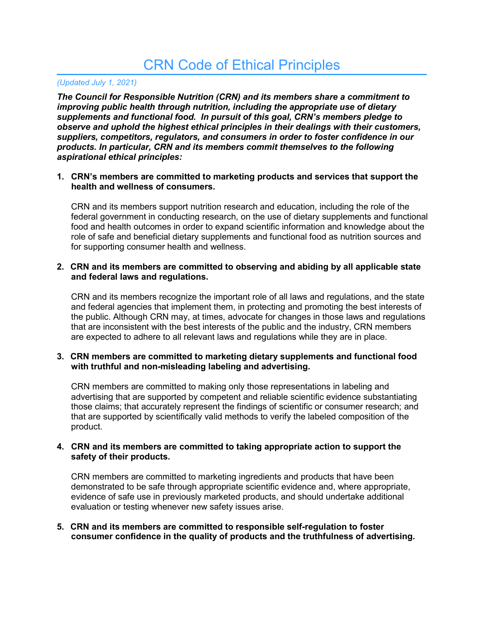# CRN Code of Ethical Principles

## *(Updated July 1, 2021)*

*The Council for Responsible Nutrition (CRN) and its members share a commitment to improving public health through nutrition, including the appropriate use of dietary supplements and functional food. In pursuit of this goal, CRN's members pledge to observe and uphold the highest ethical principles in their dealings with their customers, suppliers, competitors, regulators, and consumers in order to foster confidence in our products. In particular, CRN and its members commit themselves to the following aspirational ethical principles:*

#### **1. CRN's members are committed to marketing products and services that support the health and wellness of consumers.**

CRN and its members support nutrition research and education, including the role of the federal government in conducting research, on the use of dietary supplements and functional food and health outcomes in order to expand scientific information and knowledge about the role of safe and beneficial dietary supplements and functional food as nutrition sources and for supporting consumer health and wellness.

### **2. CRN and its members are committed to observing and abiding by all applicable state and federal laws and regulations.**

CRN and its members recognize the important role of all laws and regulations, and the state and federal agencies that implement them, in protecting and promoting the best interests of the public. Although CRN may, at times, advocate for changes in those laws and regulations that are inconsistent with the best interests of the public and the industry, CRN members are expected to adhere to all relevant laws and regulations while they are in place.

#### **3. CRN members are committed to marketing dietary supplements and functional food with truthful and non-misleading labeling and advertising.**

CRN members are committed to making only those representations in labeling and advertising that are supported by competent and reliable scientific evidence substantiating those claims; that accurately represent the findings of scientific or consumer research; and that are supported by scientifically valid methods to verify the labeled composition of the product.

#### **4. CRN and its members are committed to taking appropriate action to support the safety of their products.**

CRN members are committed to marketing ingredients and products that have been demonstrated to be safe through appropriate scientific evidence and, where appropriate, evidence of safe use in previously marketed products, and should undertake additional evaluation or testing whenever new safety issues arise.

#### **5. CRN and its members are committed to responsible self-regulation to foster consumer confidence in the quality of products and the truthfulness of advertising.**